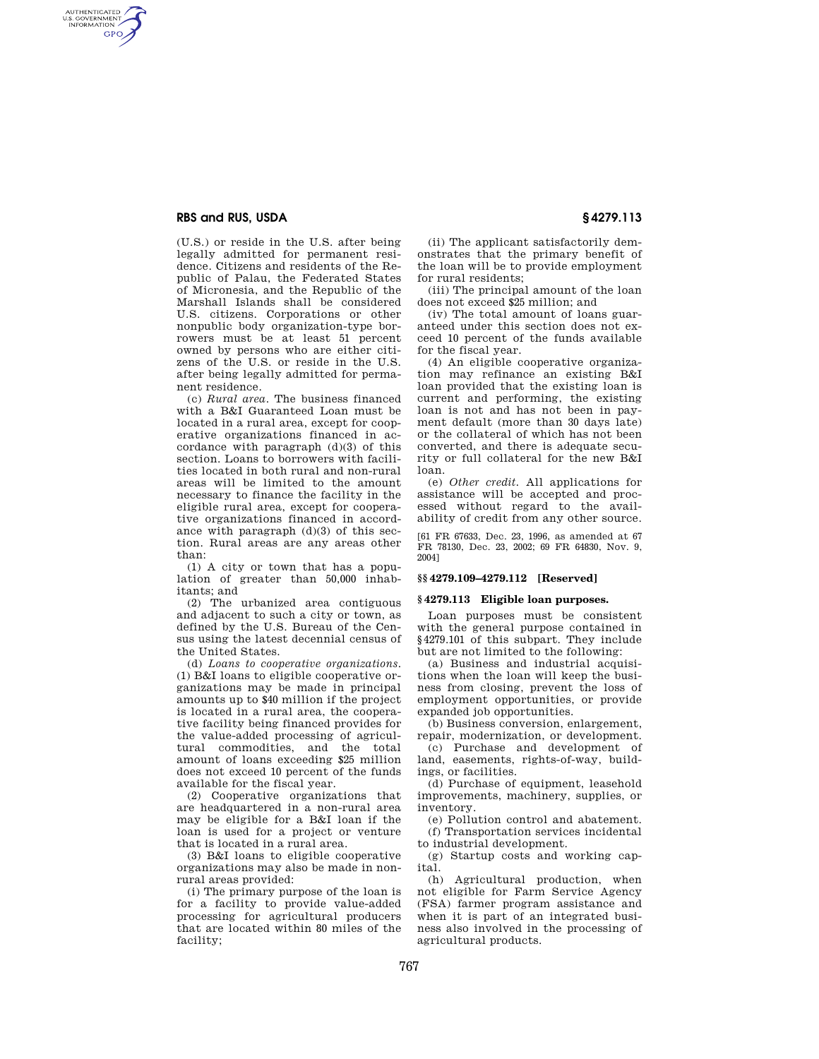# **RBS and RUS, USDA § 4279.113**

AUTHENTICATED<br>U.S. GOVERNMENT<br>INFORMATION **GPO** 

> (U.S.) or reside in the U.S. after being legally admitted for permanent residence. Citizens and residents of the Republic of Palau, the Federated States of Micronesia, and the Republic of the Marshall Islands shall be considered U.S. citizens. Corporations or other nonpublic body organization-type borrowers must be at least 51 percent owned by persons who are either citizens of the U.S. or reside in the U.S. after being legally admitted for permanent residence.

> (c) *Rural area*. The business financed with a B&I Guaranteed Loan must be located in a rural area, except for cooperative organizations financed in accordance with paragraph (d)(3) of this section. Loans to borrowers with facilities located in both rural and non-rural areas will be limited to the amount necessary to finance the facility in the eligible rural area, except for cooperative organizations financed in accordance with paragraph  $(d)(3)$  of this section. Rural areas are any areas other than:

(1) A city or town that has a population of greater than 50,000 inhabitants; and

(2) The urbanized area contiguous and adjacent to such a city or town, as defined by the U.S. Bureau of the Census using the latest decennial census of the United States.

(d) *Loans to cooperative organizations*. (1) B&I loans to eligible cooperative organizations may be made in principal amounts up to \$40 million if the project is located in a rural area, the cooperative facility being financed provides for the value-added processing of agricultural commodities, and the total amount of loans exceeding \$25 million does not exceed 10 percent of the funds available for the fiscal year.

(2) Cooperative organizations that are headquartered in a non-rural area may be eligible for a B&I loan if the loan is used for a project or venture that is located in a rural area.

(3) B&I loans to eligible cooperative organizations may also be made in nonrural areas provided:

(i) The primary purpose of the loan is for a facility to provide value-added processing for agricultural producers that are located within 80 miles of the facility;

(ii) The applicant satisfactorily demonstrates that the primary benefit of the loan will be to provide employment for rural residents;

(iii) The principal amount of the loan does not exceed \$25 million; and

(iv) The total amount of loans guaranteed under this section does not exceed 10 percent of the funds available for the fiscal year.

(4) An eligible cooperative organization may refinance an existing B&I loan provided that the existing loan is current and performing, the existing loan is not and has not been in payment default (more than 30 days late) or the collateral of which has not been converted, and there is adequate security or full collateral for the new B&I loan.

(e) *Other credit.* All applications for assistance will be accepted and processed without regard to the availability of credit from any other source.

[61 FR 67633, Dec. 23, 1996, as amended at 67 FR 78130, Dec. 23, 2002; 69 FR 64830, Nov. 9, 2004]

## **§§ 4279.109–4279.112 [Reserved]**

### **§ 4279.113 Eligible loan purposes.**

Loan purposes must be consistent with the general purpose contained in §4279.101 of this subpart. They include but are not limited to the following:

(a) Business and industrial acquisitions when the loan will keep the business from closing, prevent the loss of employment opportunities, or provide expanded job opportunities.

(b) Business conversion, enlargement, repair, modernization, or development.

(c) Purchase and development of land, easements, rights-of-way, buildings, or facilities.

(d) Purchase of equipment, leasehold improvements, machinery, supplies, or inventory.

(e) Pollution control and abatement. (f) Transportation services incidental to industrial development.

(g) Startup costs and working capital.

(h) Agricultural production, when not eligible for Farm Service Agency (FSA) farmer program assistance and when it is part of an integrated business also involved in the processing of agricultural products.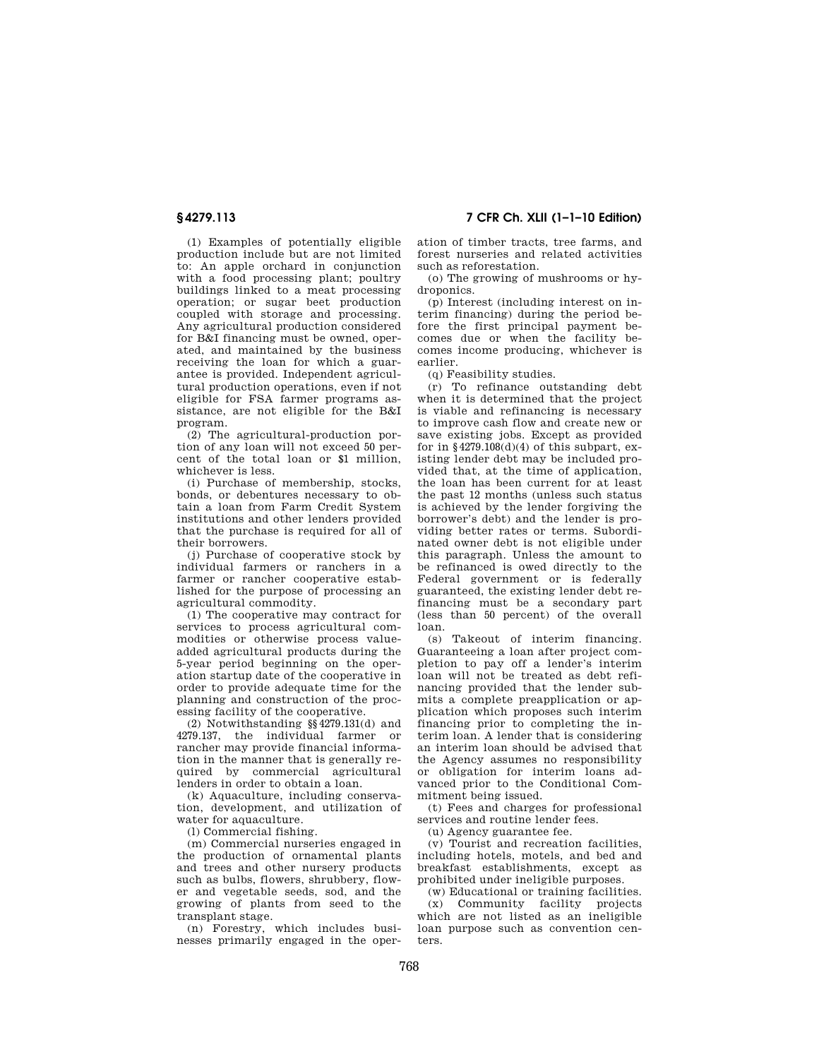**§ 4279.113 7 CFR Ch. XLII (1–1–10 Edition)** 

(1) Examples of potentially eligible production include but are not limited to: An apple orchard in conjunction with a food processing plant; poultry buildings linked to a meat processing operation; or sugar beet production coupled with storage and processing. Any agricultural production considered for B&I financing must be owned, operated, and maintained by the business receiving the loan for which a guarantee is provided. Independent agricultural production operations, even if not eligible for FSA farmer programs assistance, are not eligible for the B&I program.

(2) The agricultural-production portion of any loan will not exceed 50 percent of the total loan or \$1 million, whichever is less.

(i) Purchase of membership, stocks, bonds, or debentures necessary to obtain a loan from Farm Credit System institutions and other lenders provided that the purchase is required for all of their borrowers.

(j) Purchase of cooperative stock by individual farmers or ranchers in a farmer or rancher cooperative established for the purpose of processing an agricultural commodity.

(1) The cooperative may contract for services to process agricultural commodities or otherwise process valueadded agricultural products during the 5-year period beginning on the operation startup date of the cooperative in order to provide adequate time for the planning and construction of the processing facility of the cooperative.

(2) Notwithstanding §§4279.131(d) and 4279.137, the individual farmer or rancher may provide financial information in the manner that is generally required by commercial agricultural lenders in order to obtain a loan.

(k) Aquaculture, including conservation, development, and utilization of water for aquaculture.

(l) Commercial fishing.

(m) Commercial nurseries engaged in the production of ornamental plants and trees and other nursery products such as bulbs, flowers, shrubbery, flower and vegetable seeds, sod, and the growing of plants from seed to the transplant stage.

(n) Forestry, which includes businesses primarily engaged in the operation of timber tracts, tree farms, and forest nurseries and related activities such as reforestation.

(o) The growing of mushrooms or hydroponics.

(p) Interest (including interest on interim financing) during the period before the first principal payment becomes due or when the facility becomes income producing, whichever is earlier.

(q) Feasibility studies.

(r) To refinance outstanding debt when it is determined that the project is viable and refinancing is necessary to improve cash flow and create new or save existing jobs. Except as provided for in  $§4279.108(d)(4)$  of this subpart, existing lender debt may be included provided that, at the time of application, the loan has been current for at least the past 12 months (unless such status is achieved by the lender forgiving the borrower's debt) and the lender is providing better rates or terms. Subordinated owner debt is not eligible under this paragraph. Unless the amount to be refinanced is owed directly to the Federal government or is federally guaranteed, the existing lender debt refinancing must be a secondary part (less than 50 percent) of the overall loan.

(s) Takeout of interim financing. Guaranteeing a loan after project completion to pay off a lender's interim loan will not be treated as debt refinancing provided that the lender submits a complete preapplication or application which proposes such interim financing prior to completing the interim loan. A lender that is considering an interim loan should be advised that the Agency assumes no responsibility or obligation for interim loans advanced prior to the Conditional Commitment being issued.

(t) Fees and charges for professional services and routine lender fees.

(u) Agency guarantee fee.

(v) Tourist and recreation facilities, including hotels, motels, and bed and breakfast establishments, except as prohibited under ineligible purposes.

(w) Educational or training facilities. (x) Community facility projects which are not listed as an ineligible loan purpose such as convention centers.